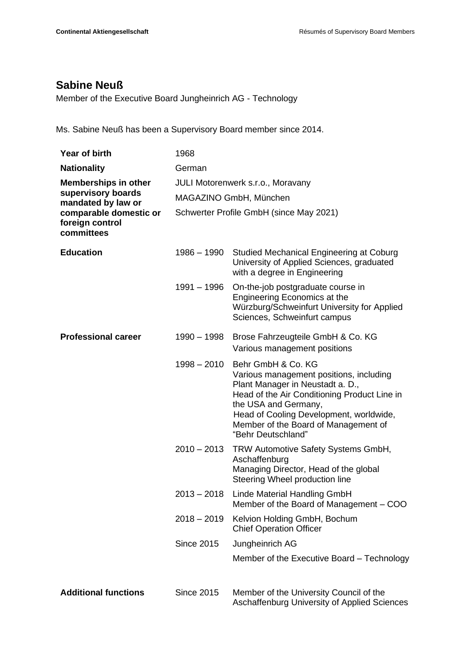## **Sabine Neuß**

Member of the Executive Board Jungheinrich AG - Technology

Ms. Sabine Neuß has been a Supervisory Board member since 2014.

| Year of birth                                                                                                                      | 1968                              |                                                                                                                                                                                                                                                                                    |
|------------------------------------------------------------------------------------------------------------------------------------|-----------------------------------|------------------------------------------------------------------------------------------------------------------------------------------------------------------------------------------------------------------------------------------------------------------------------------|
| <b>Nationality</b>                                                                                                                 | German                            |                                                                                                                                                                                                                                                                                    |
| <b>Memberships in other</b><br>supervisory boards<br>mandated by law or<br>comparable domestic or<br>foreign control<br>committees | JULI Motorenwerk s.r.o., Moravany |                                                                                                                                                                                                                                                                                    |
|                                                                                                                                    | MAGAZINO GmbH, München            |                                                                                                                                                                                                                                                                                    |
|                                                                                                                                    |                                   | Schwerter Profile GmbH (since May 2021)                                                                                                                                                                                                                                            |
| <b>Education</b>                                                                                                                   | 1986 - 1990                       | Studied Mechanical Engineering at Coburg<br>University of Applied Sciences, graduated<br>with a degree in Engineering                                                                                                                                                              |
|                                                                                                                                    | 1991 - 1996                       | On-the-job postgraduate course in<br>Engineering Economics at the<br>Würzburg/Schweinfurt University for Applied<br>Sciences, Schweinfurt campus                                                                                                                                   |
| <b>Professional career</b>                                                                                                         | $1990 - 1998$                     | Brose Fahrzeugteile GmbH & Co. KG<br>Various management positions                                                                                                                                                                                                                  |
|                                                                                                                                    | $1998 - 2010$                     | Behr GmbH & Co. KG<br>Various management positions, including<br>Plant Manager in Neustadt a. D.,<br>Head of the Air Conditioning Product Line in<br>the USA and Germany,<br>Head of Cooling Development, worldwide,<br>Member of the Board of Management of<br>"Behr Deutschland" |
|                                                                                                                                    | $2010 - 2013$                     | TRW Automotive Safety Systems GmbH,<br>Aschaffenburg<br>Managing Director, Head of the global<br>Steering Wheel production line                                                                                                                                                    |
|                                                                                                                                    | $2013 - 2018$                     | Linde Material Handling GmbH<br>Member of the Board of Management - COO                                                                                                                                                                                                            |
|                                                                                                                                    | $2018 - 2019$                     | Kelvion Holding GmbH, Bochum<br><b>Chief Operation Officer</b>                                                                                                                                                                                                                     |
|                                                                                                                                    | <b>Since 2015</b>                 | Jungheinrich AG                                                                                                                                                                                                                                                                    |
|                                                                                                                                    |                                   | Member of the Executive Board - Technology                                                                                                                                                                                                                                         |
| <b>Additional functions</b>                                                                                                        | <b>Since 2015</b>                 | Member of the University Council of the<br>Aschaffenburg University of Applied Sciences                                                                                                                                                                                            |